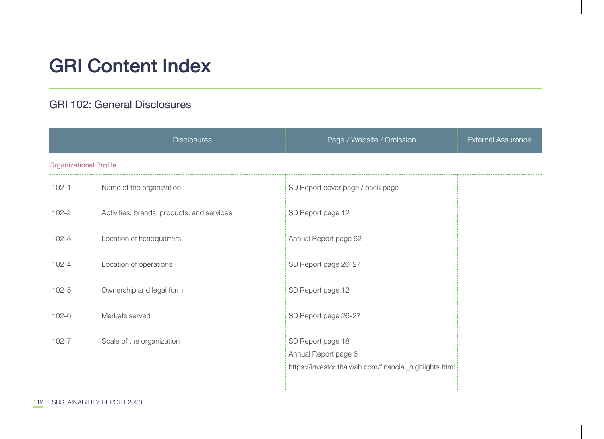# GRI Content Index

### GRI 102: General Disclosures

|                               | <b>Disclosures</b>                         | Page / Website / Omission                                                                           | <b>External Assurance</b> |
|-------------------------------|--------------------------------------------|-----------------------------------------------------------------------------------------------------|---------------------------|
| <b>Organizational Profile</b> |                                            |                                                                                                     |                           |
| $102 - 1$                     | Name of the organization                   | SD Report cover page / back page                                                                    |                           |
| $102 - 2$                     | Activities, brands, products, and services | SD Report page 12                                                                                   |                           |
| $102 - 3$                     | Location of headquarters                   | Annual Report page 62                                                                               |                           |
| $102 - 4$                     | Location of operations                     | SD Report page 26-27                                                                                |                           |
| $102 - 5$                     | Ownership and legal form                   | SD Report page 12                                                                                   |                           |
| $102 - 6$                     | Markets served                             | SD Report page 26-27                                                                                |                           |
| $102 - 7$                     | Scale of the organization                  | SD Report page 18<br>Annual Report page 6<br>https://investor.thaiwah.com/financial_highlights.html |                           |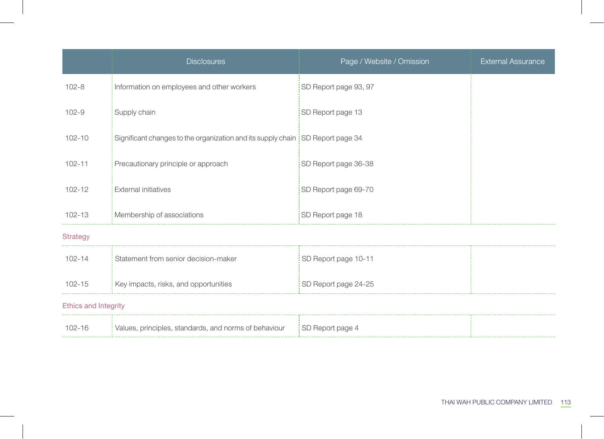|                      | <b>Disclosures</b>                                                             | Page / Website / Omission | <b>External Assurance</b> |
|----------------------|--------------------------------------------------------------------------------|---------------------------|---------------------------|
| $102 - 8$            | Information on employees and other workers                                     | SD Report page 93, 97     |                           |
| $102 - 9$            | Supply chain                                                                   | SD Report page 13         |                           |
| $102 - 10$           | Significant changes to the organization and its supply chain SD Report page 34 |                           |                           |
| $102 - 11$           | Precautionary principle or approach                                            | SD Report page 36-38      |                           |
| $102 - 12$           | <b>External initiatives</b>                                                    | SD Report page 69-70      |                           |
| $102 - 13$           | Membership of associations                                                     | SD Report page 18         |                           |
| <b>Strategy</b>      |                                                                                |                           |                           |
| $102 - 14$           | Statement from senior decision-maker                                           | SD Report page 10-11      |                           |
| $102 - 15$           | Key impacts, risks, and opportunities                                          | SD Report page 24-25      |                           |
| Ethics and Integrity |                                                                                |                           |                           |
| $102 - 16$           | Values, principles, standards, and norms of behaviour                          | SD Report page 4          |                           |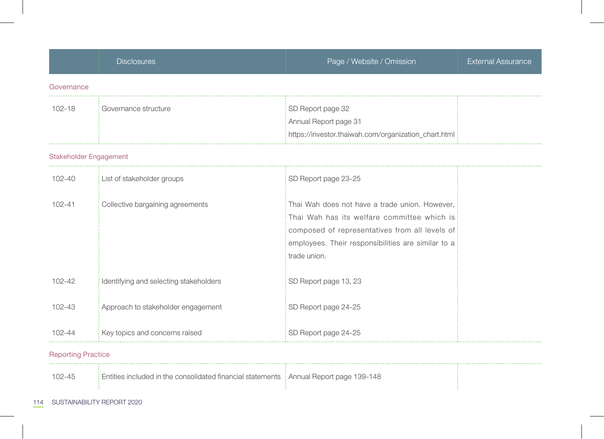|                        | <b>Disclosures</b>                     | Page / Website / Omission                                                                                                                                                                                             | <b>External Assurance</b> |
|------------------------|----------------------------------------|-----------------------------------------------------------------------------------------------------------------------------------------------------------------------------------------------------------------------|---------------------------|
| Governance             |                                        |                                                                                                                                                                                                                       |                           |
| $102 - 18$             | Governance structure                   | SD Report page 32<br>Annual Report page 31<br>https://investor.thaiwah.com/organization_chart.html                                                                                                                    |                           |
| Stakeholder Engagement |                                        |                                                                                                                                                                                                                       |                           |
| 102-40                 | List of stakeholder groups             | SD Report page 23-25                                                                                                                                                                                                  |                           |
| $102 - 41$             | Collective bargaining agreements       | Thai Wah does not have a trade union. However,<br>Thai Wah has its welfare committee which is<br>composed of representatives from all levels of<br>employees. Their responsibilities are similar to a<br>trade union. |                           |
| $102 - 42$             | Identifying and selecting stakeholders | SD Report page 13, 23                                                                                                                                                                                                 |                           |
| 102-43                 | Approach to stakeholder engagement     | SD Report page 24-25                                                                                                                                                                                                  |                           |
| $102 - 44$             | Key topics and concerns raised         | SD Report page 24-25                                                                                                                                                                                                  |                           |

## Reporting Practice

102-45 Entities included in the consolidated financial statements Annual Report page 139-148

#### 114 SUSTAINABILITY REPORT 2020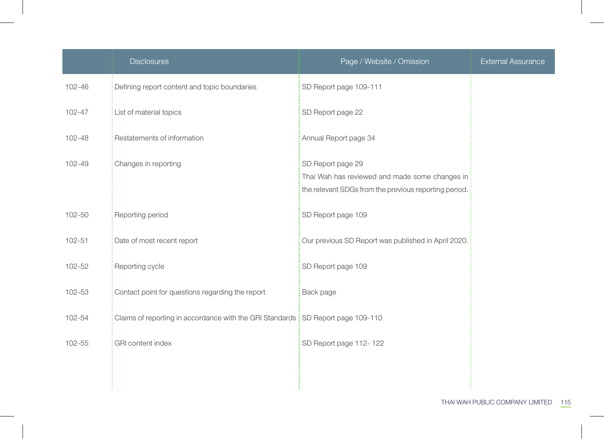|            | <b>Disclosures</b>                                                              | Page / Website / Omission                                                                                                    | <b>External Assurance</b> |
|------------|---------------------------------------------------------------------------------|------------------------------------------------------------------------------------------------------------------------------|---------------------------|
| $102 - 46$ | Defining report content and topic boundaries                                    | SD Report page 109-111                                                                                                       |                           |
| 102-47     | List of material topics                                                         | SD Report page 22                                                                                                            |                           |
| 102-48     | Restatements of information                                                     | Annual Report page 34                                                                                                        |                           |
| 102-49     | Changes in reporting                                                            | SD Report page 29<br>Thai Wah has reviewed and made some changes in<br>the relevant SDGs from the previous reporting period. |                           |
| 102-50     | Reporting period                                                                | SD Report page 109                                                                                                           |                           |
| $102 - 51$ | Date of most recent report                                                      | Our previous SD Report was published in April 2020.                                                                          |                           |
| 102-52     | Reporting cycle                                                                 | SD Report page 109                                                                                                           |                           |
| 102-53     | Contact point for questions regarding the report                                | Back page                                                                                                                    |                           |
| 102-54     | Claims of reporting in accordance with the GRI Standards SD Report page 109-110 |                                                                                                                              |                           |
| 102-55     | <b>GRI</b> content index                                                        | SD Report page 112-122                                                                                                       |                           |
|            |                                                                                 |                                                                                                                              |                           |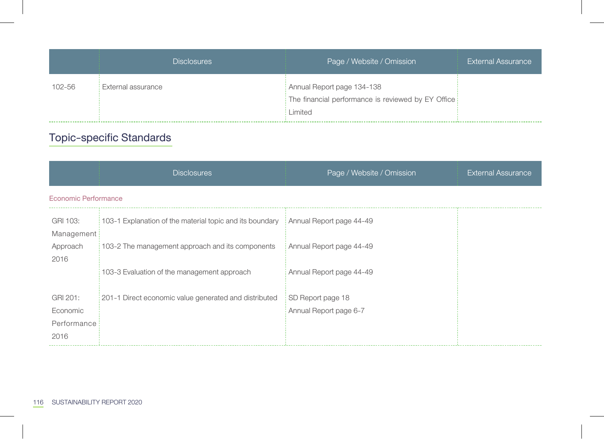|        | <b>Disclosures</b> | Page / Website / Omission                                                                   | <b>External Assurance</b> |
|--------|--------------------|---------------------------------------------------------------------------------------------|---------------------------|
| 102-56 | External assurance | Annual Report page 134-138<br>The financial performance is reviewed by EY Office<br>Limited |                           |

## Topic-specific Standards

|                                             | <b>Disclosures</b>                                       | Page / Website / Omission                   | <b>External Assurance</b> |
|---------------------------------------------|----------------------------------------------------------|---------------------------------------------|---------------------------|
| Economic Performance                        |                                                          |                                             |                           |
| GRI 103:<br>Management                      | 103-1 Explanation of the material topic and its boundary | Annual Report page 44-49                    |                           |
| Approach<br>2016                            | 103-2 The management approach and its components         | Annual Report page 44-49                    |                           |
|                                             | 103-3 Evaluation of the management approach              | Annual Report page 44-49                    |                           |
| GRI 201:<br>Economic<br>Performance<br>2016 | 201-1 Direct economic value generated and distributed    | SD Report page 18<br>Annual Report page 6-7 |                           |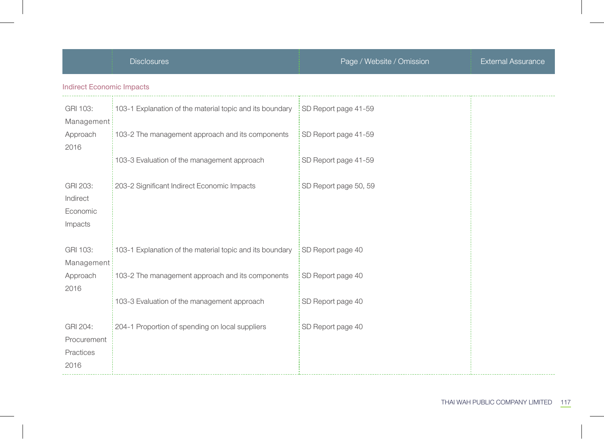|                                              | <b>Disclosures</b>                                       | Page / Website / Omission | <b>External Assurance</b> |
|----------------------------------------------|----------------------------------------------------------|---------------------------|---------------------------|
| <b>Indirect Economic Impacts</b>             |                                                          |                           |                           |
| GRI 103:<br>Management                       | 103-1 Explanation of the material topic and its boundary | SD Report page 41-59      |                           |
| Approach<br>2016                             | 103-2 The management approach and its components         | SD Report page 41-59      |                           |
|                                              | 103-3 Evaluation of the management approach              | SD Report page 41-59      |                           |
| GRI 203:<br>Indirect<br>Economic<br>Impacts  | 203-2 Significant Indirect Economic Impacts              | SD Report page 50, 59     |                           |
| GRI 103:<br>Management                       | 103-1 Explanation of the material topic and its boundary | SD Report page 40         |                           |
| Approach<br>2016                             | 103-2 The management approach and its components         | SD Report page 40         |                           |
|                                              | 103-3 Evaluation of the management approach              | SD Report page 40         |                           |
| GRI 204:<br>Procurement<br>Practices<br>2016 | 204-1 Proportion of spending on local suppliers          | SD Report page 40         |                           |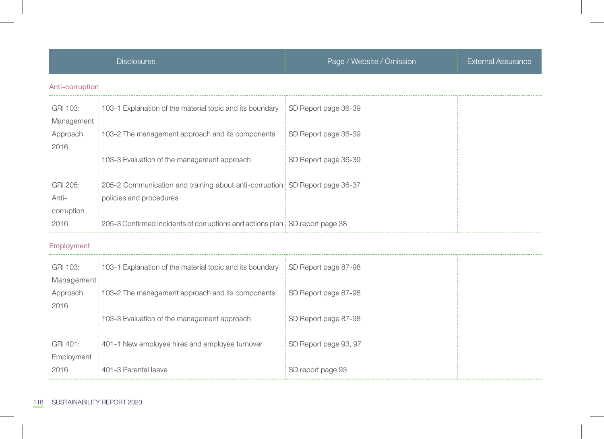|                                 | <b>Disclosures</b>                                                                                     | Page / Website / Omission | <b>External Assurance</b> |
|---------------------------------|--------------------------------------------------------------------------------------------------------|---------------------------|---------------------------|
| Anti-corruption                 |                                                                                                        |                           |                           |
| GRI 103:<br>Management          | 103-1 Explanation of the material topic and its boundary                                               | SD Report page 36-39      |                           |
| Approach<br>2016                | 103-2 The management approach and its components                                                       | SD Report page 36-39      |                           |
|                                 | 103-3 Evaluation of the management approach                                                            | SD Report page 36-39      |                           |
| GRI 205:<br>Anti-<br>corruption | 205-2 Communication and training about anti-corruption SD Report page 36-37<br>policies and procedures |                           |                           |
| 2016                            | 205-3 Confirmed incidents of corruptions and actions plan SD report page 38                            |                           |                           |
| Employment                      |                                                                                                        |                           |                           |
| GRI 103:<br>Management          | 103-1 Explanation of the material topic and its boundary                                               | SD Report page 87-98      |                           |
| Approach<br>2016                | 103-2 The management approach and its components                                                       | SD Report page 87-98      |                           |
|                                 | 103-3 Evaluation of the management approach                                                            | SD Report page 87-98      |                           |
| GRI 401:<br>Employment          | 401-1 New employee hires and employee turnover                                                         | SD Report page 93, 97     |                           |
| 2016                            | 401-3 Parental leave                                                                                   | SD report page 93         |                           |

118 SUSTAINABILITY REPORT 2020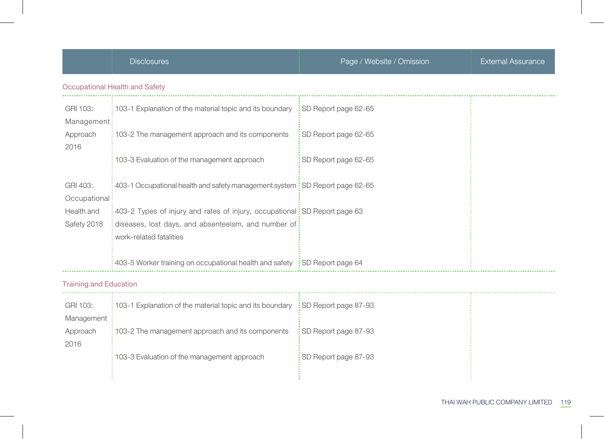|                               | <b>Disclosures</b>                                                                                                                                          | Page / Website / Omission | <b>External Assurance</b> |
|-------------------------------|-------------------------------------------------------------------------------------------------------------------------------------------------------------|---------------------------|---------------------------|
|                               | Occupational Health and Safety                                                                                                                              |                           |                           |
| GRI 103:<br>Management        | 103-1 Explanation of the material topic and its boundary                                                                                                    | SD Report page 62-65      |                           |
| Approach<br>2016              | 103-2 The management approach and its components                                                                                                            | SD Report page 62-65      |                           |
|                               | 103-3 Evaluation of the management approach                                                                                                                 | SD Report page 62-65      |                           |
| GRI 403:<br>Occupational      | 403-1 Occupational health and safety management system SD Report page 62-65                                                                                 |                           |                           |
| Health and<br>Safety 2018     | 403-2 Types of injury and rates of injury, occupational SD Report page 63<br>diseases, lost days, and absenteeism, and number of<br>work-related fatalities |                           |                           |
|                               | 403-5 Worker training on occupational health and safety SD Report page 64                                                                                   |                           |                           |
| <b>Training and Education</b> |                                                                                                                                                             |                           |                           |
| GRI 103:<br>Management        | 103-1 Explanation of the material topic and its boundary                                                                                                    | SD Report page 87-93      |                           |
| Approach<br>2016              | 103-2 The management approach and its components                                                                                                            | SD Report page 87-93      |                           |
|                               | 103-3 Evaluation of the management approach                                                                                                                 | SD Report page 87-93      |                           |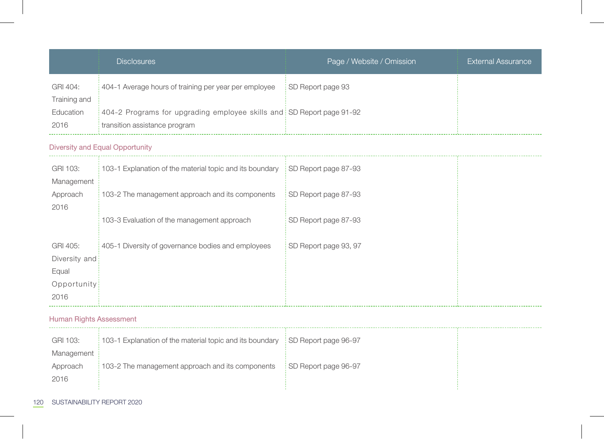|                                                           | <b>Disclosures</b>                                                                                     | Page / Website / Omission | <b>External Assurance</b> |  |
|-----------------------------------------------------------|--------------------------------------------------------------------------------------------------------|---------------------------|---------------------------|--|
| GRI 404:<br>Training and                                  | 404-1 Average hours of training per year per employee                                                  | SD Report page 93         |                           |  |
| Education<br>2016                                         | 404-2 Programs for upgrading employee skills and SD Report page 91-92<br>transition assistance program |                           |                           |  |
|                                                           | Diversity and Equal Opportunity                                                                        |                           |                           |  |
| GRI 103:<br>Management                                    | 103-1 Explanation of the material topic and its boundary                                               | SD Report page 87-93      |                           |  |
| Approach<br>2016                                          | 103-2 The management approach and its components                                                       | SD Report page 87-93      |                           |  |
|                                                           | 103-3 Evaluation of the management approach                                                            | SD Report page 87-93      |                           |  |
| GRI 405:<br>Diversity and<br>Equal<br>Opportunity<br>2016 | 405-1 Diversity of governance bodies and employees                                                     | SD Report page 93, 97     |                           |  |
| <b>Human Rights Assessment</b>                            |                                                                                                        |                           |                           |  |
| GRI 103:<br>Management                                    | 103-1 Explanation of the material topic and its boundary                                               | SD Report page 96-97      |                           |  |
| Approach<br>2016                                          | 103-2 The management approach and its components                                                       | SD Report page 96-97      |                           |  |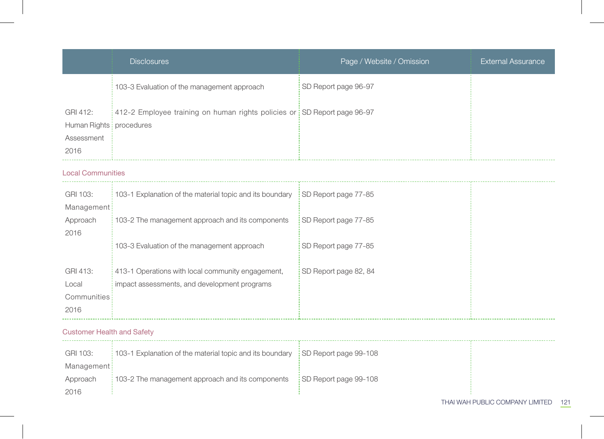|                                                             | <b>Disclosures</b>                                                                                | Page / Website / Omission | <b>External Assurance</b> |  |
|-------------------------------------------------------------|---------------------------------------------------------------------------------------------------|---------------------------|---------------------------|--|
|                                                             | 103-3 Evaluation of the management approach                                                       | SD Report page 96-97      |                           |  |
| GRI 412:<br>Human Rights   procedures<br>Assessment<br>2016 | 412-2 Employee training on human rights policies or SD Report page 96-97                          |                           |                           |  |
| <b>Local Communities</b>                                    |                                                                                                   |                           |                           |  |
| GRI 103:<br>Management                                      | 103-1 Explanation of the material topic and its boundary                                          | SD Report page 77-85      |                           |  |
| Approach<br>2016                                            | 103-2 The management approach and its components                                                  | SD Report page 77-85      |                           |  |
|                                                             | 103-3 Evaluation of the management approach                                                       | SD Report page 77-85      |                           |  |
| GRI 413:<br>Local<br>Communities<br>2016                    | 413-1 Operations with local community engagement,<br>impact assessments, and development programs | SD Report page 82, 84     |                           |  |
| <b>Customer Health and Safety</b>                           |                                                                                                   |                           |                           |  |
| GRI 103:<br>Management                                      | 103-1 Explanation of the material topic and its boundary                                          | SD Report page 99-108     |                           |  |
| Approach<br>2016                                            | 103-2 The management approach and its components                                                  | SD Report page 99-108     |                           |  |